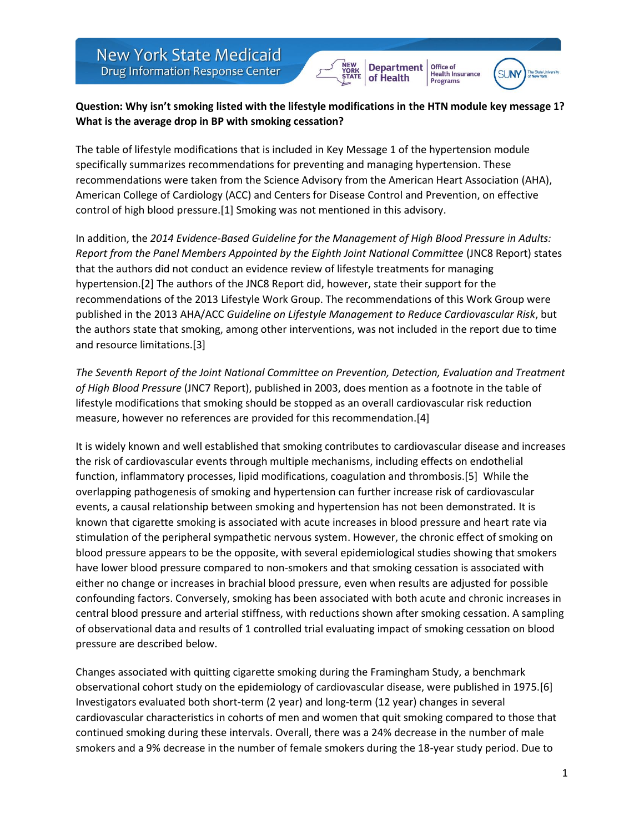



Office of

Health Insurance<br>Programs

## **Question: Why isn't smoking listed with the lifestyle modifications in the HTN module key message 1? What is the average drop in BP with smoking cessation?**

The table of lifestyle modifications that is included in Key Message 1 of the hypertension module specifically summarizes recommendations for preventing and managing hypertension. These recommendations were taken from the Science Advisory from the American Heart Association (AHA), American College of Cardiology (ACC) and Centers for Disease Control and Prevention, on effective control of high blood pressure.[1] Smoking was not mentioned in this advisory.

In addition, the *2014 Evidence-Based Guideline for the Management of High Blood Pressure in Adults: Report from the Panel Members Appointed by the Eighth Joint National Committee* (JNC8 Report) states that the authors did not conduct an evidence review of lifestyle treatments for managing hypertension.[2] The authors of the JNC8 Report did, however, state their support for the recommendations of the 2013 Lifestyle Work Group. The recommendations of this Work Group were published in the 2013 AHA/ACC *Guideline on Lifestyle Management to Reduce Cardiovascular Risk*, but the authors state that smoking, among other interventions, was not included in the report due to time and resource limitations.[3]

*The Seventh Report of the Joint National Committee on Prevention, Detection, Evaluation and Treatment of High Blood Pressure* (JNC7 Report), published in 2003, does mention as a footnote in the table of lifestyle modifications that smoking should be stopped as an overall cardiovascular risk reduction measure, however no references are provided for this recommendation.[4]

It is widely known and well established that smoking contributes to cardiovascular disease and increases the risk of cardiovascular events through multiple mechanisms, including effects on endothelial function, inflammatory processes, lipid modifications, coagulation and thrombosis.[5] While the overlapping pathogenesis of smoking and hypertension can further increase risk of cardiovascular events, a causal relationship between smoking and hypertension has not been demonstrated. It is known that cigarette smoking is associated with acute increases in blood pressure and heart rate via stimulation of the peripheral sympathetic nervous system. However, the chronic effect of smoking on blood pressure appears to be the opposite, with several epidemiological studies showing that smokers have lower blood pressure compared to non-smokers and that smoking cessation is associated with either no change or increases in brachial blood pressure, even when results are adjusted for possible confounding factors. Conversely, smoking has been associated with both acute and chronic increases in central blood pressure and arterial stiffness, with reductions shown after smoking cessation. A sampling of observational data and results of 1 controlled trial evaluating impact of smoking cessation on blood pressure are described below.

Changes associated with quitting cigarette smoking during the Framingham Study, a benchmark observational cohort study on the epidemiology of cardiovascular disease, were published in 1975.[6] Investigators evaluated both short-term (2 year) and long-term (12 year) changes in several cardiovascular characteristics in cohorts of men and women that quit smoking compared to those that continued smoking during these intervals. Overall, there was a 24% decrease in the number of male smokers and a 9% decrease in the number of female smokers during the 18-year study period. Due to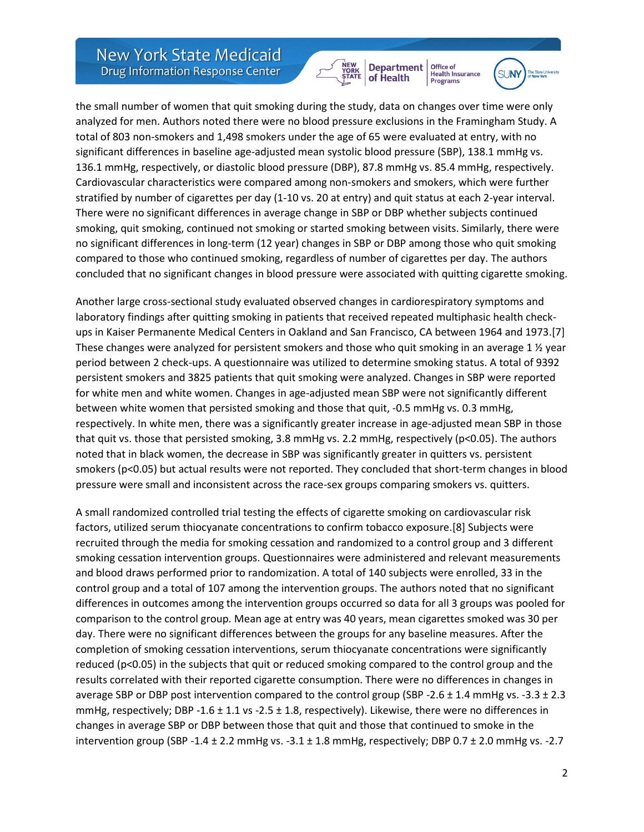

Office of Health Insurance<br>Programs



the small number of women that quit smoking during the study, data on changes over time were only analyzed for men. Authors noted there were no blood pressure exclusions in the Framingham Study. A total of 803 non-smokers and 1,498 smokers under the age of 65 were evaluated at entry, with no significant differences in baseline age-adjusted mean systolic blood pressure (SBP), 138.1 mmHg vs. 136.1 mmHg, respectively, or diastolic blood pressure (DBP), 87.8 mmHg vs. 85.4 mmHg, respectively. Cardiovascular characteristics were compared among non-smokers and smokers, which were further stratified by number of cigarettes per day (1-10 vs. 20 at entry) and quit status at each 2-year interval. There were no significant differences in average change in SBP or DBP whether subjects continued smoking, quit smoking, continued not smoking or started smoking between visits. Similarly, there were no significant differences in long-term (12 year) changes in SBP or DBP among those who quit smoking compared to those who continued smoking, regardless of number of cigarettes per day. The authors concluded that no significant changes in blood pressure were associated with quitting cigarette smoking.

Another large cross-sectional study evaluated observed changes in cardiorespiratory symptoms and laboratory findings after quitting smoking in patients that received repeated multiphasic health checkups in Kaiser Permanente Medical Centers in Oakland and San Francisco, CA between 1964 and 1973.[7] These changes were analyzed for persistent smokers and those who quit smoking in an average 1 ½ year period between 2 check-ups. A questionnaire was utilized to determine smoking status. A total of 9392 persistent smokers and 3825 patients that quit smoking were analyzed. Changes in SBP were reported for white men and white women. Changes in age-adjusted mean SBP were not significantly different between white women that persisted smoking and those that quit, -0.5 mmHg vs. 0.3 mmHg, respectively. In white men, there was a significantly greater increase in age-adjusted mean SBP in those that quit vs. those that persisted smoking, 3.8 mmHg vs. 2.2 mmHg, respectively (p<0.05). The authors noted that in black women, the decrease in SBP was significantly greater in quitters vs. persistent smokers (p<0.05) but actual results were not reported. They concluded that short-term changes in blood pressure were small and inconsistent across the race-sex groups comparing smokers vs. quitters.

A small randomized controlled trial testing the effects of cigarette smoking on cardiovascular risk factors, utilized serum thiocyanate concentrations to confirm tobacco exposure.[8] Subjects were recruited through the media for smoking cessation and randomized to a control group and 3 different smoking cessation intervention groups. Questionnaires were administered and relevant measurements and blood draws performed prior to randomization. A total of 140 subjects were enrolled, 33 in the control group and a total of 107 among the intervention groups. The authors noted that no significant differences in outcomes among the intervention groups occurred so data for all 3 groups was pooled for comparison to the control group. Mean age at entry was 40 years, mean cigarettes smoked was 30 per day. There were no significant differences between the groups for any baseline measures. After the completion of smoking cessation interventions, serum thiocyanate concentrations were significantly reduced (p<0.05) in the subjects that quit or reduced smoking compared to the control group and the results correlated with their reported cigarette consumption. There were no differences in changes in average SBP or DBP post intervention compared to the control group (SBP -2.6  $\pm$  1.4 mmHg vs. -3.3  $\pm$  2.3 mmHg, respectively; DBP -1.6 ± 1.1 vs -2.5 ± 1.8, respectively). Likewise, there were no differences in changes in average SBP or DBP between those that quit and those that continued to smoke in the intervention group (SBP -1.4  $\pm$  2.2 mmHg vs. -3.1  $\pm$  1.8 mmHg, respectively; DBP 0.7  $\pm$  2.0 mmHg vs. -2.7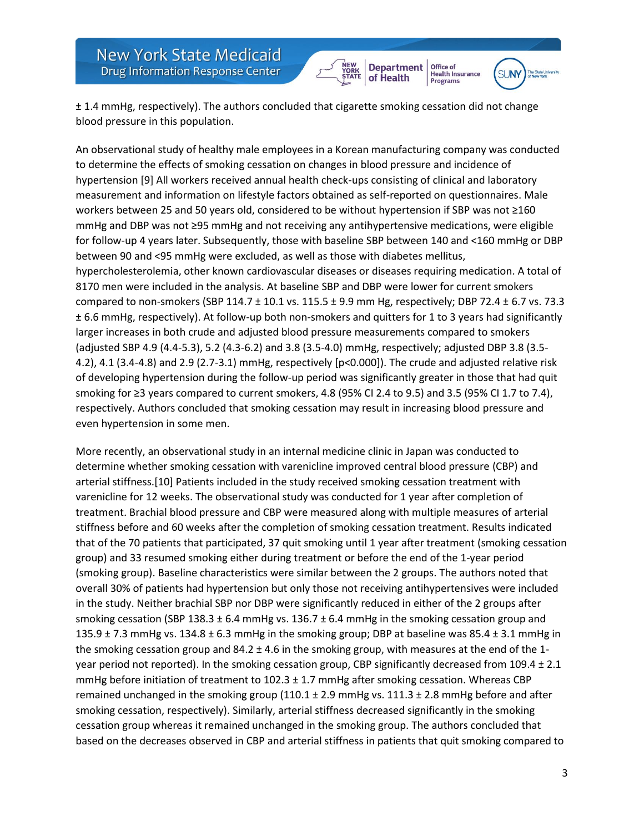



Office of

Health Insurance<br>Programs

± 1.4 mmHg, respectively). The authors concluded that cigarette smoking cessation did not change blood pressure in this population.

An observational study of healthy male employees in a Korean manufacturing company was conducted to determine the effects of smoking cessation on changes in blood pressure and incidence of hypertension [9] All workers received annual health check-ups consisting of clinical and laboratory measurement and information on lifestyle factors obtained as self-reported on questionnaires. Male workers between 25 and 50 years old, considered to be without hypertension if SBP was not ≥160 mmHg and DBP was not ≥95 mmHg and not receiving any antihypertensive medications, were eligible for follow-up 4 years later. Subsequently, those with baseline SBP between 140 and <160 mmHg or DBP between 90 and <95 mmHg were excluded, as well as those with diabetes mellitus, hypercholesterolemia, other known cardiovascular diseases or diseases requiring medication. A total of 8170 men were included in the analysis. At baseline SBP and DBP were lower for current smokers compared to non-smokers (SBP 114.7  $\pm$  10.1 vs. 115.5  $\pm$  9.9 mm Hg, respectively; DBP 72.4  $\pm$  6.7 vs. 73.3 ± 6.6 mmHg, respectively). At follow-up both non-smokers and quitters for 1 to 3 years had significantly larger increases in both crude and adjusted blood pressure measurements compared to smokers (adjusted SBP 4.9 (4.4-5.3), 5.2 (4.3-6.2) and 3.8 (3.5-4.0) mmHg, respectively; adjusted DBP 3.8 (3.5- 4.2), 4.1 (3.4-4.8) and 2.9 (2.7-3.1) mmHg, respectively [p<0.000]). The crude and adjusted relative risk of developing hypertension during the follow-up period was significantly greater in those that had quit smoking for ≥3 years compared to current smokers, 4.8 (95% CI 2.4 to 9.5) and 3.5 (95% CI 1.7 to 7.4), respectively. Authors concluded that smoking cessation may result in increasing blood pressure and even hypertension in some men.

More recently, an observational study in an internal medicine clinic in Japan was conducted to determine whether smoking cessation with varenicline improved central blood pressure (CBP) and arterial stiffness.[10] Patients included in the study received smoking cessation treatment with varenicline for 12 weeks. The observational study was conducted for 1 year after completion of treatment. Brachial blood pressure and CBP were measured along with multiple measures of arterial stiffness before and 60 weeks after the completion of smoking cessation treatment. Results indicated that of the 70 patients that participated, 37 quit smoking until 1 year after treatment (smoking cessation group) and 33 resumed smoking either during treatment or before the end of the 1-year period (smoking group). Baseline characteristics were similar between the 2 groups. The authors noted that overall 30% of patients had hypertension but only those not receiving antihypertensives were included in the study. Neither brachial SBP nor DBP were significantly reduced in either of the 2 groups after smoking cessation (SBP 138.3  $\pm$  6.4 mmHg vs. 136.7  $\pm$  6.4 mmHg in the smoking cessation group and 135.9  $\pm$  7.3 mmHg vs. 134.8  $\pm$  6.3 mmHg in the smoking group; DBP at baseline was 85.4  $\pm$  3.1 mmHg in the smoking cessation group and 84.2 ± 4.6 in the smoking group, with measures at the end of the 1 year period not reported). In the smoking cessation group, CBP significantly decreased from 109.4 ± 2.1 mmHg before initiation of treatment to  $102.3 \pm 1.7$  mmHg after smoking cessation. Whereas CBP remained unchanged in the smoking group  $(110.1 \pm 2.9 \text{ mmHg vs. } 111.3 \pm 2.8 \text{ mmHg before and after})$ smoking cessation, respectively). Similarly, arterial stiffness decreased significantly in the smoking cessation group whereas it remained unchanged in the smoking group. The authors concluded that based on the decreases observed in CBP and arterial stiffness in patients that quit smoking compared to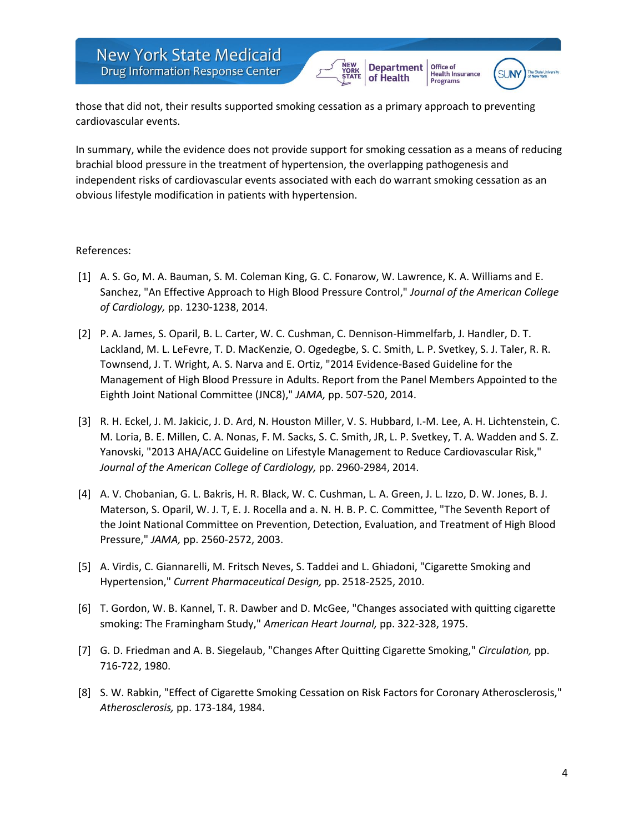



Office of

Programs

those that did not, their results supported smoking cessation as a primary approach to preventing cardiovascular events.

In summary, while the evidence does not provide support for smoking cessation as a means of reducing brachial blood pressure in the treatment of hypertension, the overlapping pathogenesis and independent risks of cardiovascular events associated with each do warrant smoking cessation as an obvious lifestyle modification in patients with hypertension.

## References:

- [1] A. S. Go, M. A. Bauman, S. M. Coleman King, G. C. Fonarow, W. Lawrence, K. A. Williams and E. Sanchez, "An Effective Approach to High Blood Pressure Control," *Journal of the American College of Cardiology,* pp. 1230-1238, 2014.
- [2] P. A. James, S. Oparil, B. L. Carter, W. C. Cushman, C. Dennison-Himmelfarb, J. Handler, D. T. Lackland, M. L. LeFevre, T. D. MacKenzie, O. Ogedegbe, S. C. Smith, L. P. Svetkey, S. J. Taler, R. R. Townsend, J. T. Wright, A. S. Narva and E. Ortiz, "2014 Evidence-Based Guideline for the Management of High Blood Pressure in Adults. Report from the Panel Members Appointed to the Eighth Joint National Committee (JNC8)," *JAMA,* pp. 507-520, 2014.
- [3] R. H. Eckel, J. M. Jakicic, J. D. Ard, N. Houston Miller, V. S. Hubbard, I.-M. Lee, A. H. Lichtenstein, C. M. Loria, B. E. Millen, C. A. Nonas, F. M. Sacks, S. C. Smith, JR, L. P. Svetkey, T. A. Wadden and S. Z. Yanovski, "2013 AHA/ACC Guideline on Lifestyle Management to Reduce Cardiovascular Risk," *Journal of the American College of Cardiology,* pp. 2960-2984, 2014.
- [4] A. V. Chobanian, G. L. Bakris, H. R. Black, W. C. Cushman, L. A. Green, J. L. Izzo, D. W. Jones, B. J. Materson, S. Oparil, W. J. T, E. J. Rocella and a. N. H. B. P. C. Committee, "The Seventh Report of the Joint National Committee on Prevention, Detection, Evaluation, and Treatment of High Blood Pressure," *JAMA,* pp. 2560-2572, 2003.
- [5] A. Virdis, C. Giannarelli, M. Fritsch Neves, S. Taddei and L. Ghiadoni, "Cigarette Smoking and Hypertension," *Current Pharmaceutical Design,* pp. 2518-2525, 2010.
- [6] T. Gordon, W. B. Kannel, T. R. Dawber and D. McGee, "Changes associated with quitting cigarette smoking: The Framingham Study," *American Heart Journal,* pp. 322-328, 1975.
- [7] G. D. Friedman and A. B. Siegelaub, "Changes After Quitting Cigarette Smoking," *Circulation,* pp. 716-722, 1980.
- [8] S. W. Rabkin, "Effect of Cigarette Smoking Cessation on Risk Factors for Coronary Atherosclerosis," *Atherosclerosis,* pp. 173-184, 1984.